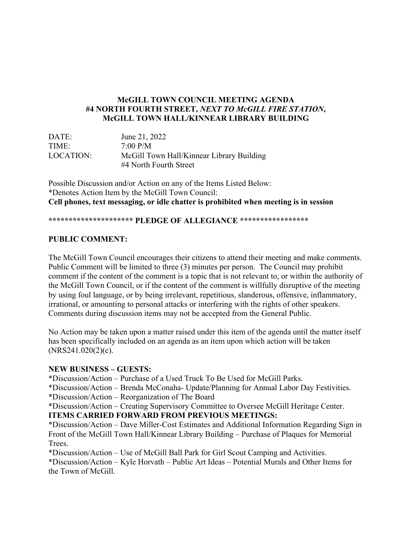## **McGILL TOWN COUNCIL MEETING AGENDA #4 NORTH FOURTH STREET,** *NEXT TO McGILL FIRE STATION***, McGILL TOWN HALL/KINNEAR LIBRARY BUILDING**

| DATE:     | June 21, 2022                                                       |
|-----------|---------------------------------------------------------------------|
| TIME:     | 7:00 P/M                                                            |
| LOCATION: | McGill Town Hall/Kinnear Library Building<br>#4 North Fourth Street |

Possible Discussion and/or Action on any of the Items Listed Below: \*Denotes Action Item by the McGill Town Council: **Cell phones, text messaging, or idle chatter is prohibited when meeting is in session**

#### **\*\*\*\*\*\*\*\*\*\*\*\*\*\*\*\*\*\*\*\*\* PLEDGE OF ALLEGIANCE \*\*\*\*\*\*\*\*\*\*\*\*\*\*\*\*\***

## **PUBLIC COMMENT:**

The McGill Town Council encourages their citizens to attend their meeting and make comments. Public Comment will be limited to three (3) minutes per person. The Council may prohibit comment if the content of the comment is a topic that is not relevant to, or within the authority of the McGill Town Council, or if the content of the comment is willfully disruptive of the meeting by using foul language, or by being irrelevant, repetitious, slanderous, offensive, inflammatory, irrational, or amounting to personal attacks or interfering with the rights of other speakers. Comments during discussion items may not be accepted from the General Public.

No Action may be taken upon a matter raised under this item of the agenda until the matter itself has been specifically included on an agenda as an item upon which action will be taken  $(NRS241.020(2)(c).$ 

## **NEW BUSINESS – GUESTS:**

\*Discussion/Action – Purchase of a Used Truck To Be Used for McGill Parks.

\*Discussion/Action – Brenda McConaha- Update/Planning for Annual Labor Day Festivities.

\*Discussion/Action – Reorganization of The Board

\*Discussion/Action – Creating Supervisory Committee to Oversee McGill Heritage Center.

# **ITEMS CARRIED FORWARD FROM PREVIOUS MEETINGS:**

\*Discussion/Action – Dave Miller-Cost Estimates and Additional Information Regarding Sign in Front of the McGill Town Hall/Kinnear Library Building – Purchase of Plaques for Memorial Trees.

\*Discussion/Action – Use of McGill Ball Park for Girl Scout Camping and Activities.

\*Discussion/Action – Kyle Horvath – Public Art Ideas – Potential Murals and Other Items for the Town of McGill.